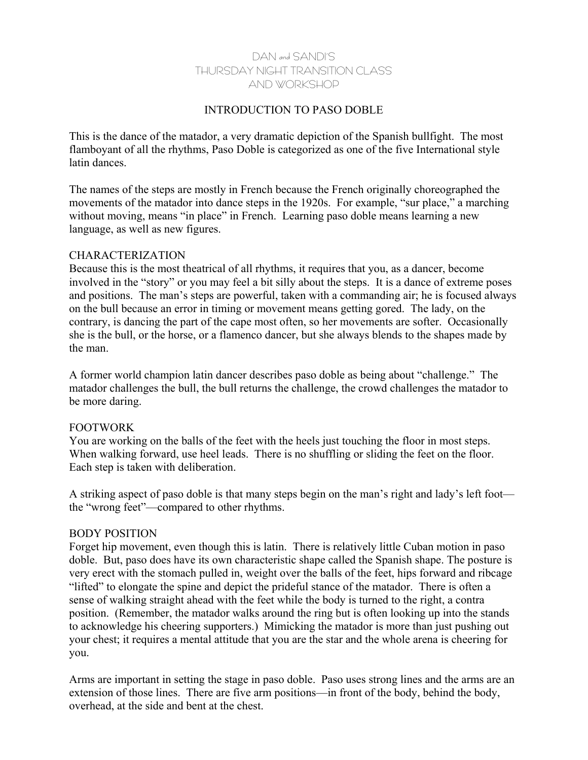# DAN and SANDI'S THURSDAY NIGHT TRANSITION CLASS AND WORKSHOP

# INTRODUCTION TO PASO DOBLE

This is the dance of the matador, a very dramatic depiction of the Spanish bullfight. The most flamboyant of all the rhythms, Paso Doble is categorized as one of the five International style latin dances.

The names of the steps are mostly in French because the French originally choreographed the movements of the matador into dance steps in the 1920s. For example, "sur place," a marching without moving, means "in place" in French. Learning paso doble means learning a new language, as well as new figures.

#### CHARACTERIZATION

Because this is the most theatrical of all rhythms, it requires that you, as a dancer, become involved in the "story" or you may feel a bit silly about the steps. It is a dance of extreme poses and positions. The man's steps are powerful, taken with a commanding air; he is focused always on the bull because an error in timing or movement means getting gored. The lady, on the contrary, is dancing the part of the cape most often, so her movements are softer. Occasionally she is the bull, or the horse, or a flamenco dancer, but she always blends to the shapes made by the man.

A former world champion latin dancer describes paso doble as being about "challenge." The matador challenges the bull, the bull returns the challenge, the crowd challenges the matador to be more daring.

## FOOTWORK

You are working on the balls of the feet with the heels just touching the floor in most steps. When walking forward, use heel leads. There is no shuffling or sliding the feet on the floor. Each step is taken with deliberation.

A striking aspect of paso doble is that many steps begin on the man's right and lady's left foot the "wrong feet"—compared to other rhythms.

## BODY POSITION

Forget hip movement, even though this is latin. There is relatively little Cuban motion in paso doble. But, paso does have its own characteristic shape called the Spanish shape. The posture is very erect with the stomach pulled in, weight over the balls of the feet, hips forward and ribcage "lifted" to elongate the spine and depict the prideful stance of the matador. There is often a sense of walking straight ahead with the feet while the body is turned to the right, a contra position. (Remember, the matador walks around the ring but is often looking up into the stands to acknowledge his cheering supporters.) Mimicking the matador is more than just pushing out your chest; it requires a mental attitude that you are the star and the whole arena is cheering for you.

Arms are important in setting the stage in paso doble. Paso uses strong lines and the arms are an extension of those lines. There are five arm positions—in front of the body, behind the body, overhead, at the side and bent at the chest.